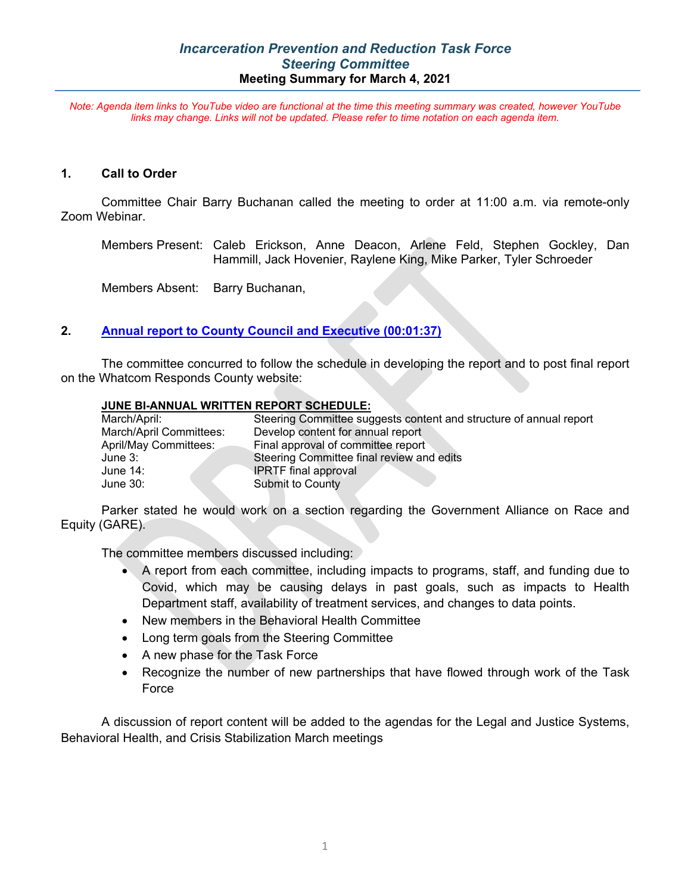## *Incarceration Prevention and Reduction Task Force Steering Committee* **Meeting Summary for March 4, 2021**

*Note: Agenda item links to YouTube video are functional at the time this meeting summary was created, however YouTube links may change. Links will not be updated. Please refer to time notation on each agenda item.*

#### **1. Call to Order**

Committee Chair Barry Buchanan called the meeting to order at 11:00 a.m. via remote-only Zoom Webinar.

Members Present: Caleb Erickson, Anne Deacon, Arlene Feld, Stephen Gockley, Dan Hammill, Jack Hovenier, Raylene King, Mike Parker, Tyler Schroeder

Members Absent: Barry Buchanan,

## **2. [Annual report to County Council and Executive \(00:01:37\)](https://youtu.be/mLva2TKqF7c?t=97)**

The committee concurred to follow the schedule in developing the report and to post final report on the Whatcom Responds County website:

#### **JUNE BI-ANNUAL WRITTEN REPORT SCHEDULE:**

| Steering Committee suggests content and structure of annual report |
|--------------------------------------------------------------------|
| Develop content for annual report                                  |
| Final approval of committee report                                 |
| Steering Committee final review and edits                          |
| <b>IPRTF</b> final approval                                        |
| Submit to County                                                   |
|                                                                    |

Parker stated he would work on a section regarding the Government Alliance on Race and Equity (GARE).

The committee members discussed including:

- A report from each committee, including impacts to programs, staff, and funding due to Covid, which may be causing delays in past goals, such as impacts to Health Department staff, availability of treatment services, and changes to data points.
- New members in the Behavioral Health Committee
- Long term goals from the Steering Committee
- A new phase for the Task Force
- Recognize the number of new partnerships that have flowed through work of the Task Force

A discussion of report content will be added to the agendas for the Legal and Justice Systems, Behavioral Health, and Crisis Stabilization March meetings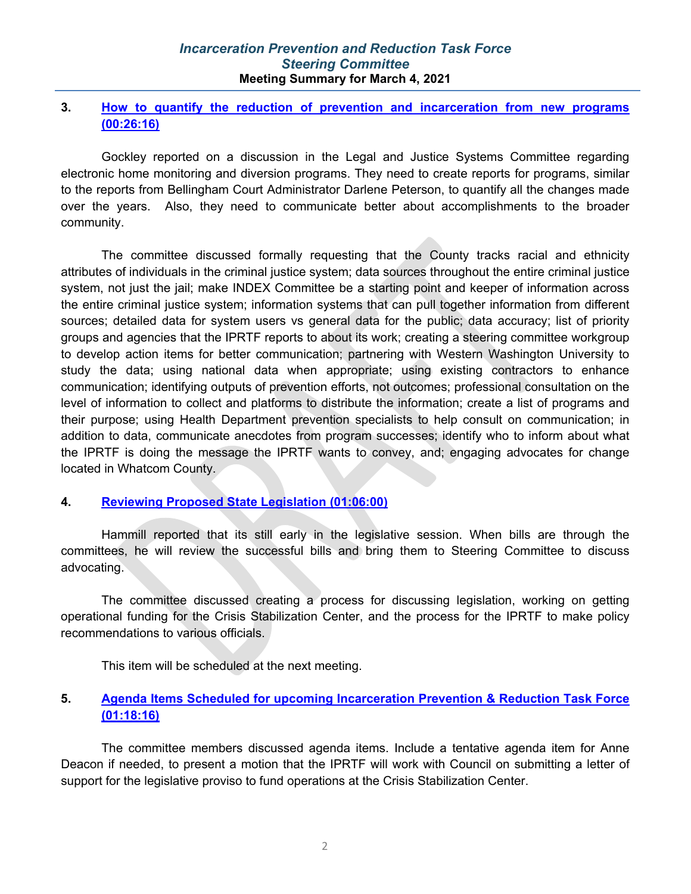## *Incarceration Prevention and Reduction Task Force Steering Committee* **Meeting Summary for March 4, 2021**

## **3. [How to quantify the reduction of prevention and incarceration from new programs](https://youtu.be/mLva2TKqF7c?t=1575) [\(00:26:16\)](https://youtu.be/mLva2TKqF7c?t=1575)**

Gockley reported on a discussion in the Legal and Justice Systems Committee regarding electronic home monitoring and diversion programs. They need to create reports for programs, similar to the reports from Bellingham Court Administrator Darlene Peterson, to quantify all the changes made over the years. Also, they need to communicate better about accomplishments to the broader community.

The committee discussed formally requesting that the County tracks racial and ethnicity attributes of individuals in the criminal justice system; data sources throughout the entire criminal justice system, not just the jail; make INDEX Committee be a starting point and keeper of information across the entire criminal justice system; information systems that can pull together information from different sources; detailed data for system users vs general data for the public; data accuracy; list of priority groups and agencies that the IPRTF reports to about its work; creating a steering committee workgroup to develop action items for better communication; partnering with Western Washington University to study the data; using national data when appropriate; using existing contractors to enhance communication; identifying outputs of prevention efforts, not outcomes; professional consultation on the level of information to collect and platforms to distribute the information; create a list of programs and their purpose; using Health Department prevention specialists to help consult on communication; in addition to data, communicate anecdotes from program successes; identify who to inform about what the IPRTF is doing the message the IPRTF wants to convey, and; engaging advocates for change located in Whatcom County.

# **4. [Reviewing Proposed State Legislation](https://youtu.be/mLva2TKqF7c?t=3958) (01:06:00)**

Hammill reported that its still early in the legislative session. When bills are through the committees, he will review the successful bills and bring them to Steering Committee to discuss advocating.

The committee discussed creating a process for discussing legislation, working on getting operational funding for the Crisis Stabilization Center, and the process for the IPRTF to make policy recommendations to various officials.

This item will be scheduled at the next meeting.

# **5. [Agenda Items Scheduled for upcoming Incarceration Prevention & Reduction Task Force](https://youtu.be/mLva2TKqF7c?t=4695) [\(01:18:16\)](https://youtu.be/mLva2TKqF7c?t=4695)**

The committee members discussed agenda items. Include a tentative agenda item for Anne Deacon if needed, to present a motion that the IPRTF will work with Council on submitting a letter of support for the legislative proviso to fund operations at the Crisis Stabilization Center.